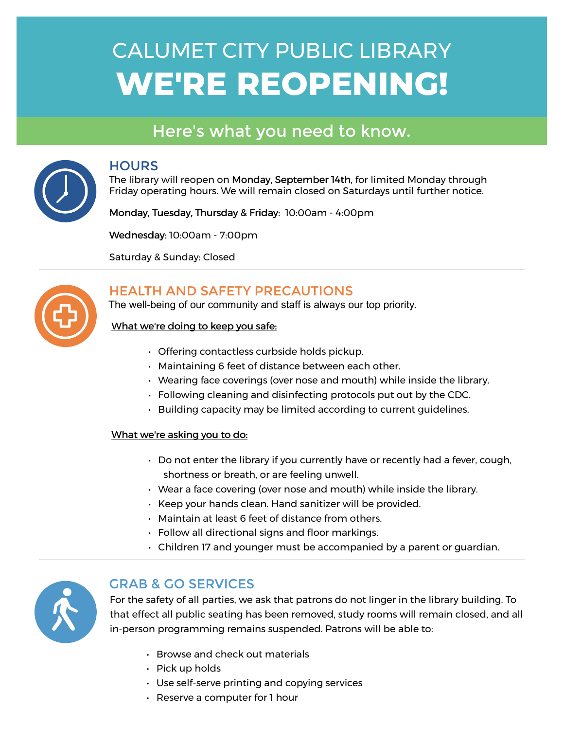# WE'RE REOPENING! CALUMET CITY PUBLIC LIBRARY

### Here's what you need to know.



#### **HOURS**

The library will reopen on Monday, September 14th, for limited Monday through Friday operating hours. We will remain closed on Saturdays until further notice.

Monday, Tuesday, Thursday & Friday: 10:00am - 4:00pm

Wednesday: 10:00am - 7:00pm

Saturday & Sunday: Closed



#### HEALTH AND SAFETY PRECAUTIONS

The well-being of our community and staff is always our top priority.

#### What we're doing to keep you safe:

- Offering contactless curbside holds pickup.
- Maintaining 6 feet of distance between each other.
- Wearing face coverings (over nose and mouth) while inside the library.
- Following cleaning and disinfecting protocols put out by the CDC.
- Building capacity may be limited according to current guidelines.

#### What we're asking you to do:

- Do not enter the library if you currently have or recently had a fever, cough, shortness or breath, or are feeling unwell.
- Wear a face covering (over nose and mouth) while inside the library.
- Keep your hands clean. Hand sanitizer will be provided.
- Maintain at least 6 feet of distance from others.
- Follow all directional signs and floor markings.
- Children 17 and younger must be accompanied by a parent or guardian.



#### GRAB & GO SERVICES

For the safety of all parties, we ask that patrons do not linger in the library building. To that effect all public seating has been removed, study rooms will remain closed, and all in-person programming remains suspended. Patrons will be able to:

- Browse and check out materials
- Pick up holds
- Use self-serve printing and copying services
- Reserve a computer for 1 hour